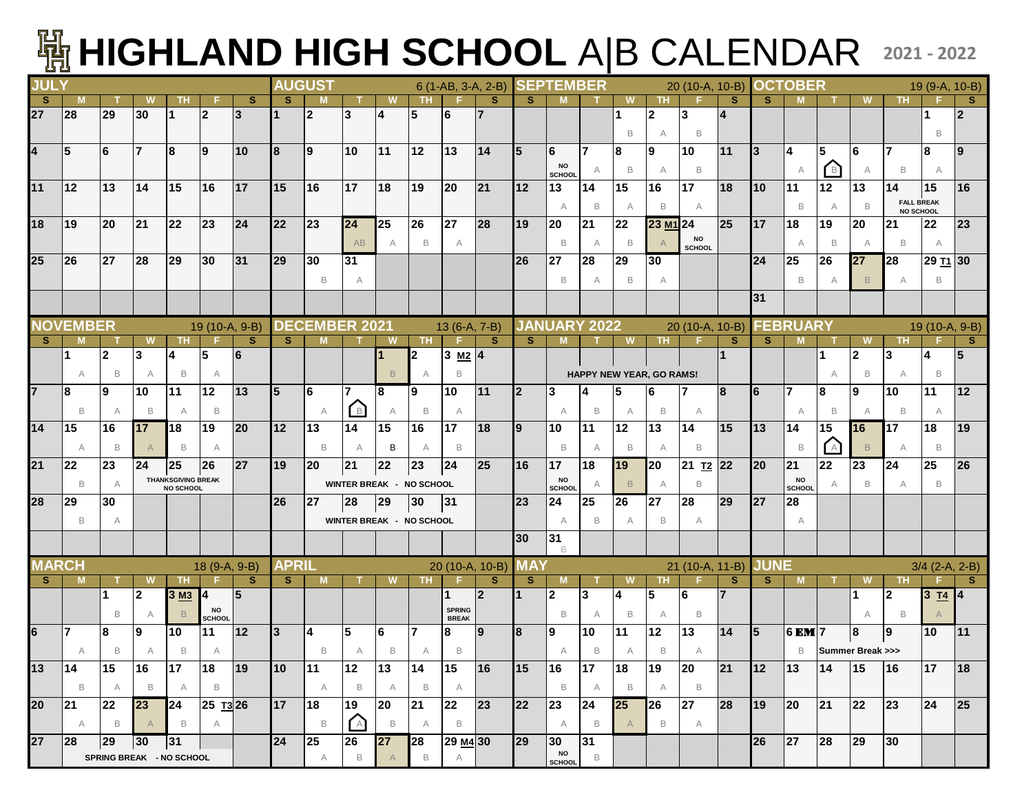## **HIGHLAND HIGH SCHOOL** A|B CALENDAR **2021 - 2022**

| <b>JULY</b>  |                                                               |                          |                |                                               |                     |                | <b>AUGUST</b> |                         |                                 |                         |                |                               | 6 (1-AB, 3-A, 2-B) |              | <b>SEPTEMBER</b>                                       |                |                |                          | 20 (10-A, 10-B)      |                |             | <b>OCTOBER</b>                                         |                                  |                |                   | 19 (9-A, 10-B)       |                |
|--------------|---------------------------------------------------------------|--------------------------|----------------|-----------------------------------------------|---------------------|----------------|---------------|-------------------------|---------------------------------|-------------------------|----------------|-------------------------------|--------------------|--------------|--------------------------------------------------------|----------------|----------------|--------------------------|----------------------|----------------|-------------|--------------------------------------------------------|----------------------------------|----------------|-------------------|----------------------|----------------|
| <b>S</b>     |                                                               |                          |                | ΤН                                            |                     | <sub>S</sub>   | s             |                         |                                 |                         | TH.            |                               | <sub>S</sub>       | S.           |                                                        |                |                | тн                       |                      | <b>S</b>       | s           |                                                        |                                  | W              | тн                |                      | s              |
| 27           | <b>28</b>                                                     | 29                       | 30             |                                               | 2                   | $\overline{3}$ |               | $\overline{2}$          | $\overline{3}$                  | 4                       | 5              | 6                             |                    |              |                                                        |                |                | $\mathbf{2}$             | 3                    | $\overline{4}$ |             |                                                        |                                  |                |                   |                      | $\mathfrak{p}$ |
|              |                                                               |                          |                |                                               |                     |                |               |                         |                                 |                         |                |                               |                    |              |                                                        |                | B              | A                        | B                    |                |             |                                                        |                                  |                |                   | B                    |                |
| 4            | 5                                                             | 6                        | 17             | 8                                             | 19                  | 10             | 18            | ۱9                      | 10                              | 11                      | 12             | 13                            | 14                 | 15           | 6                                                      | 7              | 8              | 9                        | 10                   | 11             | 3           | $\overline{\mathbf{4}}$                                | 5                                | 6              |                   | 8                    | $\mathbf{9}$   |
|              |                                                               |                          |                |                                               |                     |                |               |                         |                                 |                         |                |                               |                    |              | <b>NO</b><br>SCHOOL                                    | A              | B              | $\overline{\mathsf{A}}$  | B                    |                |             | A                                                      | B <sup>1</sup>                   | A              | B                 | A                    |                |
| 11           | 12                                                            | 13                       | 14             | 15                                            | 16                  | 17             | 15            | 16                      | 17                              | 18                      | 19             | 20                            | 21                 | 12           | 13                                                     | 14             | 15             | 16                       | 17                   | 18             | 10          | 11                                                     | 12                               | 13             | 14                | 15                   | 16             |
|              |                                                               |                          |                |                                               |                     |                |               |                         |                                 |                         |                |                               |                    |              | A                                                      | B              | A              | B                        | A                    |                |             | B                                                      | A                                | B              | <b>FALL BREAK</b> |                      |                |
| 18           | 19                                                            | <b>20</b>                | 21             | 22                                            | 23                  | 24             | 22            | 23                      | 24                              | 25                      | 26             | 27                            | 28                 | 19           | 20                                                     | 21             | 22             | 23 M <sub>1</sub> 24     |                      | 25             | <b>17</b>   | 18                                                     | 19                               | 20             | NO SCHOOL<br>21   | 22                   | 23             |
|              |                                                               |                          |                |                                               |                     |                |               |                         |                                 |                         |                |                               |                    |              |                                                        |                |                |                          | <b>NO</b>            |                |             |                                                        |                                  |                |                   |                      |                |
|              |                                                               |                          |                |                                               |                     |                |               |                         | AB                              | $\overline{\mathsf{A}}$ | B              | A                             |                    |              | B                                                      | A              | B              |                          | <b>SCHOOL</b>        |                |             | $\overline{A}$                                         | B                                | A              | B                 | A                    |                |
| 25           | 26                                                            | 27                       | 28             | 29                                            | 30                  | 31             | 29            | 30                      | 31                              |                         |                |                               |                    | 26           | 27                                                     | 28             | 29             | 30                       |                      |                | 24          | 25                                                     | 26                               | 27             | 28                | 29 T <sub>1</sub> 30 |                |
|              |                                                               |                          |                |                                               |                     |                |               | B                       | A                               |                         |                |                               |                    |              | B                                                      | A              | B              | A                        |                      |                |             | B                                                      | A                                | $\mathsf B$    | A                 | B                    |                |
|              |                                                               |                          |                |                                               |                     |                |               |                         |                                 |                         |                |                               |                    |              |                                                        |                |                |                          |                      |                | 31          |                                                        |                                  |                |                   |                      |                |
|              | <b>NOVEMBER</b>                                               |                          |                |                                               |                     |                |               | <b>DECEMBER 2021</b>    |                                 |                         |                |                               |                    |              | <b>JANUARY 2022</b>                                    |                |                |                          |                      |                |             | <b>FEBRUARY</b>                                        |                                  |                |                   |                      |                |
| S.           | M                                                             |                          | W              | <b>TH</b>                                     | 19 (10-A, 9-B)      | <b>S</b>       | S.            | M                       |                                 | <b>W</b>                | TH.            | 13 (6-A, 7-B)<br>E            | S.                 | S.           | M                                                      |                | <b>W</b>       | <b>TH</b>                | 20 (10-A, 10-B)      | <sub>S</sub>   | S.          | M                                                      |                                  | W              | <b>TH</b>         | 19 (10-A, 9-B)       | s              |
|              |                                                               | $\overline{2}$           | Ι3             |                                               | 5                   | 6              |               |                         |                                 |                         | 2              | 3 $M2$ 4                      |                    |              |                                                        |                |                |                          |                      | $\mathbf{1}$   |             |                                                        |                                  | $\overline{2}$ | 3                 | 14                   | 5              |
|              | A                                                             | B                        | A              | B                                             | A                   |                |               |                         |                                 | $\mathsf B$             | A              | B                             |                    |              |                                                        |                |                | HAPPY NEW YEAR, GO RAMS! |                      |                |             |                                                        | A                                | B              | A                 | B                    |                |
| 17           | 8                                                             | Ι9                       | 10             | 11                                            | $12 \,$             | 13             | 5             | 6                       | 7                               | 8                       | Ι9             | 10                            | 11                 | <b>l</b> 2   | 3                                                      | 4              | 5              | 6                        | 7                    | 8              | 6           | 7                                                      | 8                                | 19             | 10                | 11                   | 12             |
|              |                                                               |                          |                |                                               |                     |                |               |                         |                                 |                         |                |                               |                    |              |                                                        |                |                |                          |                      |                |             |                                                        |                                  |                |                   |                      |                |
|              | B                                                             | $\overline{\mathsf{A}}$  | B              | A                                             | B                   |                |               | A                       | $\Box$                          | A                       | B              | A                             |                    |              | A                                                      | B              | A              | B                        | A                    |                |             | A                                                      | B                                | A              | B                 | A                    |                |
| 14           | 15                                                            | 16                       | 17             | 18                                            | 19                  | 20             | 12            | 13                      | 14                              | 15                      | 16             | 17                            | 18                 | 19           | 10                                                     | 11             | 12             | 13                       | 14                   | 15             | 13          | 14                                                     | 15                               | 16             | 17                | 18                   | 19             |
|              | A                                                             | B                        |                | B                                             | A                   |                |               | B                       | A                               | в                       | A              | B                             |                    |              | B                                                      | A              | B              | $\overline{\mathsf{A}}$  | B                    |                |             | B                                                      | A                                | $\,$ B         | A                 | B                    |                |
| 21           | 22                                                            | 23                       | 24             | 25                                            | 26                  | 27             | 19            | 20                      | 21                              | 22                      | 23             | 24                            | 25                 | <b>16</b>    | 17                                                     | 18             | <b>19</b>      | 20                       | 21 T <sub>2</sub> 22 |                | <b>20</b>   | 21                                                     | 22                               | 23             | 24                | 25                   | 26             |
|              | B                                                             | $\overline{\mathsf{A}}$  |                | <b>THANKSGIVING BREAK</b><br><b>NO SCHOOL</b> |                     |                |               |                         | <b>WINTER BREAK - NO SCHOOL</b> |                         |                |                               |                    |              | <b>NO</b><br>SCHOOL                                    | A              | B              | A                        | B                    |                |             | <b>NO</b><br><b>SCHOOL</b>                             | A                                | B              | A                 | B                    |                |
| 28           | 29                                                            | 30                       |                |                                               |                     |                | 26            | 27                      | 28                              | 29                      | 30             | 31                            |                    | 23           | 24                                                     | 25             | 26             | 27                       | 28                   | 29             | 27          | 28                                                     |                                  |                |                   |                      |                |
|              | B                                                             | A                        |                |                                               |                     |                |               |                         | <b>WINTER BREAK - NO SCHOOL</b> |                         |                |                               |                    |              | $\overline{A}$                                         | B              | A              | B                        | A                    |                |             | A                                                      |                                  |                |                   |                      |                |
|              |                                                               |                          |                |                                               |                     |                |               |                         |                                 |                         |                |                               |                    | 30           | 31                                                     |                |                |                          |                      |                |             |                                                        |                                  |                |                   |                      |                |
|              |                                                               |                          |                |                                               |                     |                |               |                         |                                 |                         |                |                               |                    |              | <b>B</b>                                               |                |                |                          |                      |                |             |                                                        |                                  |                |                   |                      |                |
| <b>MARCH</b> |                                                               |                          |                |                                               | 18 (9-A, 9-B)       |                | <b>APRIL</b>  |                         |                                 |                         |                |                               | 20 (10-A, 10-B)    | <b>MAY</b>   |                                                        |                |                |                          | 21 (10-A, 11-B)      |                | <b>JUNE</b> |                                                        |                                  |                |                   | $3/4$ (2-A, 2-B)     |                |
| -S           |                                                               |                          |                | TH                                            |                     | <b>S</b>       | <b>S</b>      |                         |                                 |                         | TH.            |                               | <b>S</b>           | $\mathbf{s}$ |                                                        |                |                | ΤН                       |                      | <b>S</b>       | S.          | <b>M</b>                                               |                                  | W              | ΤН                |                      | <b>S</b>       |
|              |                                                               | 1                        | 2              | 3 M3                                          | 4                   | $\sqrt{5}$     |               |                         |                                 |                         |                |                               | $\mathbf{2}$       |              | $\mathbf{2}$                                           | 3              | 4              | 5                        | 6                    | 7              |             |                                                        |                                  | 1              | 2                 | $3 \underline{74}$   |                |
|              |                                                               | B                        | A              | B                                             | <b>NO</b><br>SCHOOL |                |               |                         |                                 |                         |                | <b>SPRING</b><br><b>BREAK</b> |                    |              | B                                                      | A              | B              | A                        | B                    |                |             |                                                        |                                  | A              | B                 |                      |                |
| l6           | 7                                                             | 8                        | Ι9             | 10                                            | 11                  | 12             | l3            | $\overline{\mathbf{4}}$ | $5\phantom{.0}$                 | 6                       | $\overline{7}$ | 8                             | 9                  | 8            | Ι9                                                     | 10             | 11             | 12                       | 13                   | 14             | 15          | 6 EM 7                                                 |                                  | 8              | 9                 | 10                   | 11             |
|              | А                                                             | B                        |                | B                                             | A                   |                |               | B                       |                                 | B                       | A              | B                             |                    |              | A                                                      | B              | A              | B                        | A                    |                |             | B                                                      | <b>Summer Break &gt;&gt;&gt;</b> |                |                   |                      |                |
| 13   14      |                                                               | 15                       | 16             | 17                                            | 18                  | 19             | $10 \t   11$  |                         | $ 12\rangle$                    | $ 13\rangle$            | 14             | 15                            | 16                 | $\vert$ 15   | 16                                                     | 17             | 18             | $ 19\rangle$             | 20                   | 21             | 112         | $ 13\rangle$                                           | 14                               | 15             | 16                | 17                   | 18             |
|              | $\overline{B}$                                                | A                        | $\overline{B}$ |                                               | $A$ $B$             |                |               | A                       | $\overline{B}$                  | A                       | $\Box$         | A                             |                    |              |                                                        | B A            | $\overline{B}$ | A                        | $\Box$               |                |             |                                                        |                                  |                |                   |                      |                |
|              | 20 21 22 23 24 25 13 26                                       |                          |                |                                               |                     |                | 17   18       |                         | 19                              | 20                      | $21 \quad 22$  |                               | 23                 | $\sqrt{22}$  | $\begin{array}{ c c c }\n\hline\n23 & 24\n\end{array}$ |                | 25             | $\vert$ 26               | 27                   | 28             | 19          | $\begin{array}{ c c c }\n\hline\n20 & 21\n\end{array}$ |                                  | 22             | $ 23\rangle$      | 24                   | 25             |
|              |                                                               | A B A B A                |                |                                               |                     |                |               | $\Box$                  | A                               | $\mathsf B$             | A              | $\overline{B}$                |                    |              | A                                                      | $\overline{B}$ |                | $\,$ B                   | A                    |                |             |                                                        |                                  |                |                   |                      |                |
| 27           | $\begin{array}{ c c c c }\n\hline\n28 & 29 & 30\n\end{array}$ |                          |                | 31                                            |                     |                | 24            | 25                      | 26                              | 27                      | $\vert$ 28     | $\sqrt{29 M_4}$ 30            |                    | 29           | $\begin{array}{ c c c }\n\hline\n30 & 31\n\end{array}$ |                |                |                          |                      |                | 26          | 27                                                     | 28                               | 29             | $ 30\rangle$      |                      |                |
|              |                                                               | SPRING BREAK - NO SCHOOL |                |                                               |                     |                |               | A                       | $\mathsf B$                     | $\mathsf{A}$            | B              | A                             |                    |              | <b>NO</b>                                              | $\mathsf B$    |                |                          |                      |                |             |                                                        |                                  |                |                   |                      |                |
|              |                                                               |                          |                |                                               |                     |                |               |                         |                                 |                         |                |                               |                    |              | <b>SCHOOL</b>                                          |                |                |                          |                      |                |             |                                                        |                                  |                |                   |                      |                |